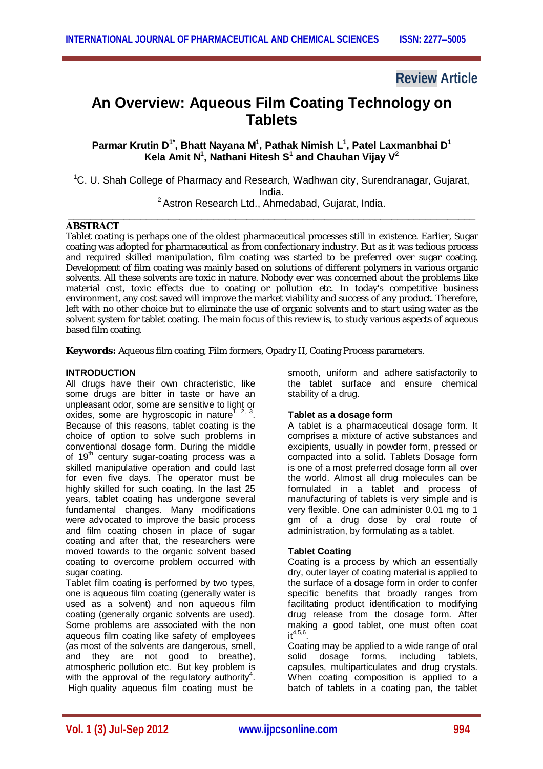## **Review Article**

# **An Overview: Aqueous Film Coating Technology on Tablets**

### **Parmar Krutin D1\*, Bhatt Nayana M<sup>1</sup> , Pathak Nimish L<sup>1</sup> , Patel Laxmanbhai D<sup>1</sup> Kela Amit N<sup>1</sup> , Nathani Hitesh S<sup>1</sup> and Chauhan Vijay V<sup>2</sup>**

<sup>1</sup>C. U. Shah College of Pharmacy and Research, Wadhwan city, Surendranagar, Gujarat, India. <sup>2</sup> Astron Research Ltd., Ahmedabad, Gujarat, India.

\_\_\_\_\_\_\_\_\_\_\_\_\_\_\_\_\_\_\_\_\_\_\_\_\_\_\_\_\_\_\_\_\_\_\_\_\_\_\_\_\_\_\_\_\_\_\_\_\_\_\_\_\_\_\_\_\_\_\_\_\_\_\_\_\_\_\_\_\_\_\_\_\_

### **ABSTRACT**

Tablet coating is perhaps one of the oldest pharmaceutical processes still in existence. Earlier, Sugar coating was adopted for pharmaceutical as from confectionary industry. But as it was tedious process and required skilled manipulation, film coating was started to be preferred over sugar coating. Development of film coating was mainly based on solutions of different polymers in various organic solvents. All these solvents are toxic in nature. Nobody ever was concerned about the problems like material cost, toxic effects due to coating or pollution etc. In today's competitive business environment, any cost saved will improve the market viability and success of any product. Therefore, left with no other choice but to eliminate the use of organic solvents and to start using water as the solvent system for tablet coating. The main focus of this review is, to study various aspects of aqueous based film coating.

**Keywords:** Aqueous film coating, Film formers, Opadry II, Coating Process parameters.

### **INTRODUCTION**

All drugs have their own chracteristic, like some drugs are bitter in taste or have an unpleasant odor, some are sensitive to light or oxides, some are hygroscopic in nature<sup>1, 2, 3</sup>. Because of this reasons, tablet coating is the choice of option to solve such problems in conventional dosage form. During the middle of 19<sup>th</sup> century sugar-coating process was a skilled manipulative operation and could last for even five days. The operator must be highly skilled for such coating. In the last 25 years, tablet coating has undergone several fundamental changes. Many modifications were advocated to improve the basic process and film coating chosen in place of sugar coating and after that, the researchers were moved towards to the organic solvent based coating to overcome problem occurred with sugar coating.

Tablet film coating is performed by two types, one is aqueous film coating (generally water is used as a solvent) and non aqueous film coating (generally organic solvents are used). Some problems are associated with the non aqueous film coating like safety of employees (as most of the solvents are dangerous, smell, and they are not good to breathe), atmospheric pollution etc. But key problem is with the approval of the regulatory authority<sup>4</sup>. High quality aqueous film coating must be

smooth, uniform and adhere satisfactorily to the tablet surface and ensure chemical stability of a drug.

### **Tablet as a dosage form**

A tablet is a pharmaceutical dosage form. It comprises a mixture of active substances and excipients, usually in powder form, pressed or compacted into a solid**.** Tablets Dosage form is one of a most preferred dosage form all over the world. Almost all drug molecules can be formulated in a tablet and process of manufacturing of tablets is very simple and is very flexible. One can administer 0.01 mg to 1 gm of a drug dose by oral route of administration, by formulating as a tablet.

### **Tablet Coating**

Coating is a process by which an essentially dry, outer layer of coating material is applied to the surface of a dosage form in order to confer specific benefits that broadly ranges from facilitating product identification to modifying drug release from the dosage form. After making a good tablet, one must often coat it $^{4,5,6}$ .

Coating may be applied to a wide range of oral solid dosage forms, including tablets, capsules, multiparticulates and drug crystals. When coating composition is applied to a batch of tablets in a coating pan, the tablet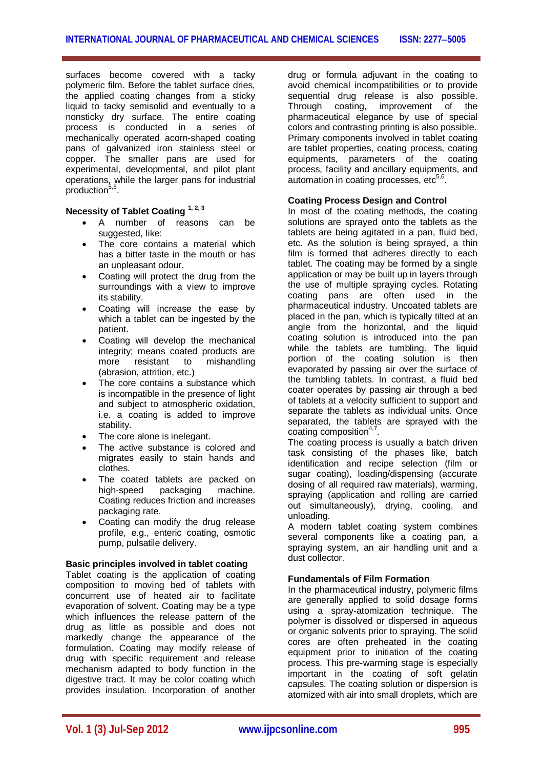surfaces become covered with a tacky polymeric film. Before the tablet surface dries, the applied coating changes from a sticky liquid to tacky semisolid and eventually to a nonsticky dry surface. The entire coating process is conducted in a series of mechanically operated acorn-shaped coating pans of galvanized iron stainless steel or copper. The smaller pans are used for experimental, developmental, and pilot plant operations, while the larger pans for industrial production<sup>5,6</sup>.

### **Necessity of Tablet Coating 1, 2, 3**

- A number of reasons can be suggested, like:
- The core contains a material which has a bitter taste in the mouth or has an unpleasant odour.
- Coating will protect the drug from the surroundings with a view to improve its stability.
- Coating will increase the ease by which a tablet can be ingested by the patient.
- Coating will develop the mechanical integrity; means coated products are more resistant to mishandling (abrasion, attrition, etc.)
- The core contains a substance which is incompatible in the presence of light and subject to atmospheric oxidation, i.e. a coating is added to improve stability.
- The core alone is inelegant.
- The active substance is colored and migrates easily to stain hands and clothes.
- The coated tablets are packed on<br>high-speed packaging machine. packaging Coating reduces friction and increases packaging rate.
- Coating can modify the drug release profile, e.g., enteric coating, osmotic pump, pulsatile delivery.

### **Basic principles involved in tablet coating**

Tablet coating is the application of coating composition to moving bed of tablets with concurrent use of heated air to facilitate evaporation of solvent. Coating may be a type which influences the release pattern of the drug as little as possible and does not markedly change the appearance of the formulation. Coating may modify release of drug with specific requirement and release mechanism adapted to body function in the digestive tract. It may be color coating which provides insulation. Incorporation of another drug or formula adjuvant in the coating to avoid chemical incompatibilities or to provide sequential drug release is also possible. Through coating, improvement of the pharmaceutical elegance by use of special colors and contrasting printing is also possible. Primary components involved in tablet coating are tablet properties, coating process, coating equipments, parameters of the coating process, facility and ancillary equipments, and automation in coating processes, etc<sup>5,6</sup>.

### **Coating Process Design and Control**

In most of the coating methods, the coating solutions are sprayed onto the tablets as the tablets are being agitated in a pan, fluid bed, etc. As the solution is being sprayed, a thin film is formed that adheres directly to each tablet. The coating may be formed by a single application or may be built up in layers through the use of multiple spraying cycles. Rotating coating pans are often used in the pharmaceutical industry. Uncoated tablets are placed in the pan, which is typically tilted at an angle from the horizontal, and the liquid coating solution is introduced into the pan while the tablets are tumbling. The liquid portion of the coating solution is then evaporated by passing air over the surface of the tumbling tablets. In contrast, a fluid bed coater operates by passing air through a bed of tablets at a velocity sufficient to support and separate the tablets as individual units. Once separated, the tablets are sprayed with the coating composition<sup>4,7</sup>.

The coating process is usually a batch driven task consisting of the phases like, batch identification and recipe selection (film or sugar coating), loading/dispensing (accurate dosing of all required raw materials), warming, spraying (application and rolling are carried out simultaneously), drying, cooling, and unloading.

A modern tablet coating system combines several components like a coating pan, a spraying system, an air handling unit and a dust collector.

### **Fundamentals of Film Formation**

In the pharmaceutical industry, polymeric films are generally applied to solid dosage forms using a spray-atomization technique. The polymer is dissolved or dispersed in aqueous or organic solvents prior to spraying. The solid cores are often preheated in the coating equipment prior to initiation of the coating process. This pre-warming stage is especially important in the coating of soft gelatin capsules. The coating solution or dispersion is atomized with air into small droplets, which are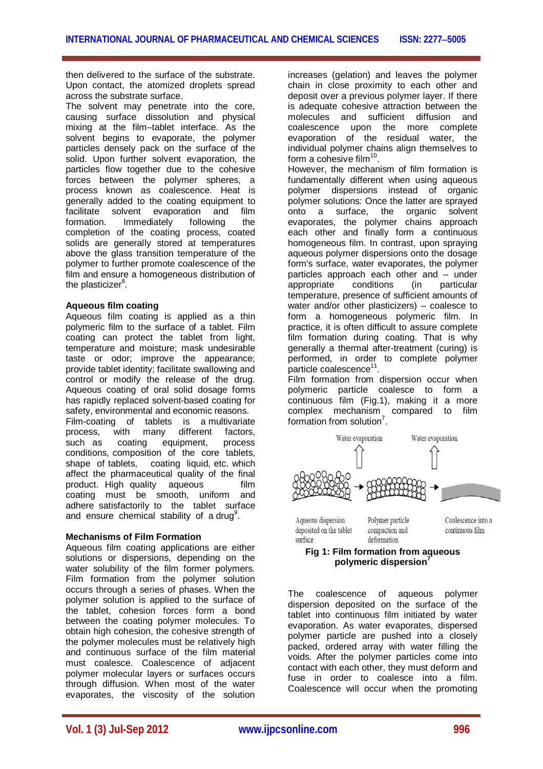then delivered to the surface of the substrate. Upon contact, the atomized droplets spread across the substrate surface.

The solvent may penetrate into the core, causing surface dissolution and physical mixing at the film–tablet interface. As the solvent begins to evaporate, the polymer particles densely pack on the surface of the solid. Upon further solvent evaporation, the particles flow together due to the cohesive forces between the polymer spheres, a process known as coalescence. Heat is generally added to the coating equipment to facilitate solvent evaporation and film formation. Immediately following the completion of the coating process, coated solids are generally stored at temperatures above the glass transition temperature of the polymer to further promote coalescence of the film and ensure a homogeneous distribution of the plasticizer<sup>8</sup>.

### **Aqueous film coating**

Aqueous film coating is applied as a thin polymeric film to the surface of a tablet. Film coating can protect the tablet from light, temperature and moisture; mask undesirable taste or odor: improve the appearance: provide tablet identity; facilitate swallowing and control or modify the release of the drug. Aqueous coating of oral solid dosage forms has rapidly replaced solvent-based coating for safety, environmental and economic reasons. Film-coating of tablets is a-multivariate<br>process, with many different factors, many different factors, such as coating equipment, process conditions, composition of the core tablets, shape of tablets, coating liquid, etc. which affect the pharmaceutical quality of the final product. High quality aqueous film coating must be smooth, uniform and adhere satisfactorily to the tablet surface and ensure chemical stability of a drug<sup>9</sup>.

### **Mechanisms of Film Formation**

Aqueous film coating applications are either solutions or dispersions, depending on the water solubility of the film former polymers. Film formation from the polymer solution occurs through a series of phases. When the polymer solution is applied to the surface of the tablet, cohesion forces form a bond between the coating polymer molecules. To obtain high cohesion, the cohesive strength of the polymer molecules must be relatively high and continuous surface of the film material must coalesce. Coalescence of adjacent polymer molecular layers or surfaces occurs through diffusion. When most of the water evaporates, the viscosity of the solution

increases (gelation) and leaves the polymer chain in close proximity to each other and deposit over a previous polymer layer. If there is adequate cohesive attraction between the molecules and sufficient diffusion and coalescence upon the more complete evaporation of the residual water, the individual polymer chains align themselves to form a cohesive film $^{10}$ . However, the mechanism of film formation is fundamentally different when using aqueous polymer dispersions instead of organic polymer solutions: Once the latter are sprayed<br>onto a surface. the organic solvent the organic solvent evaporates, the polymer chains approach each other and finally form a continuous

homogeneous film. In contrast, upon spraying aqueous polymer dispersions onto the dosage form's surface, water evaporates, the polymer particles approach each other and – under appropriate conditions (in particular temperature, presence of sufficient amounts of water and/or other plasticizers) – coalesce to form a homogeneous polymeric film. In practice, it is often difficult to assure complete film formation during coating. That is why generally a thermal after-treatment (curing) is performed, in order to complete polymer particle coalescence<sup>11</sup>.

Film formation from dispersion occur when polymeric particle coalesce to form a continuous film (Fig.1), making it a more complex mechanism compared to film formation from solution<sup>7</sup>.



### deposited on the tablet surface

compaction and deformation

Coalescence into a continuous film

### **Fig 1: Film formation from aqueous polymeric dispersion<sup>7</sup>**

The coalescence of aqueous polymer dispersion deposited on the surface of the tablet into continuous film initiated by water evaporation. As water evaporates, dispersed polymer particle are pushed into a closely packed, ordered array with water filling the voids. After the polymer particles come into contact with each other, they must deform and fuse in order to coalesce into a film. Coalescence will occur when the promoting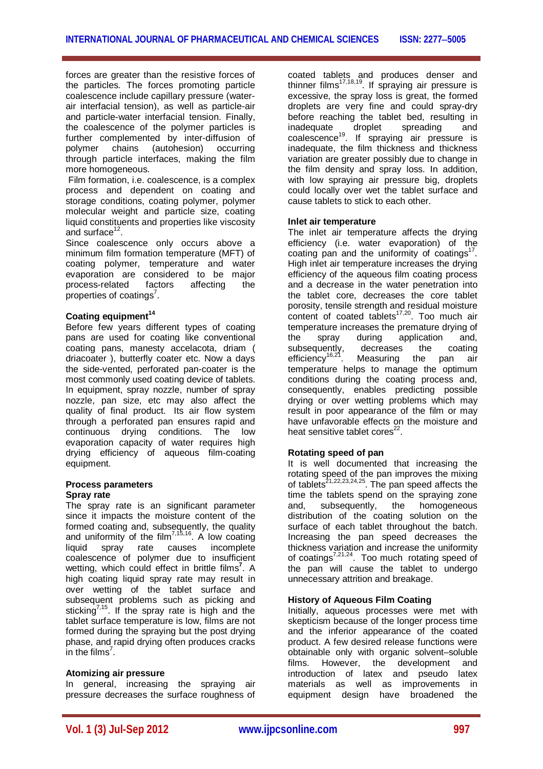forces are greater than the resistive forces of the particles. The forces promoting particle coalescence include capillary pressure (waterair interfacial tension), as well as particle-air and particle-water interfacial tension. Finally, the coalescence of the polymer particles is further complemented by inter-diffusion of polymer chains (autohesion) occurring through particle interfaces, making the film more homogeneous.

Film formation, i.e. coalescence, is a complex process and dependent on coating and storage conditions, coating polymer, polymer molecular weight and particle size, coating liquid constituents and properties like viscosity and surface<sup>12</sup>.

Since coalescence only occurs above a minimum film formation temperature (MFT) of coating polymer, temperature and water evaporation are considered to be major process-related factors affecting the properties of coatings<sup>7</sup>.

### **Coating equipment<sup>14</sup>**

Before few years different types of coating pans are used for coating like conventional coating pans, manesty accelacota, driam ( driacoater ), butterfly coater etc. Now a days the side-vented, perforated pan-coater is the most commonly used coating device of tablets. In equipment, spray nozzle, number of spray nozzle, pan size, etc may also affect the quality of final product. Its air flow system through a perforated pan ensures rapid and continuous drying conditions. The low evaporation capacity of water requires high drying efficiency of aqueous film-coating equipment.

### **Process parameters Spray rate**

The spray rate is an significant parameter since it impacts the moisture content of the formed coating and, subsequently, the quality and uniformity of the film<sup>7,15,16</sup>. A low coating liquid spray rate causes incomplete coalescence of polymer due to insufficient wetting, which could effect in brittle films**<sup>7</sup>** . A high coating liquid spray rate may result in over wetting of the tablet surface and subsequent problems such as picking and sticking<sup>7,15</sup>. If the spray rate is high and the tablet surface temperature is low, films are not formed during the spraying but the post drying phase, and rapid drying often produces cracks in the films<sup>7</sup>.

### **Atomizing air pressure**

In general, increasing the spraying air pressure decreases the surface roughness of coated tablets and produces denser and thinner films<sup>17,18,19</sup>. If spraying air pressure is excessive, the spray loss is great, the formed droplets are very fine and could spray-dry before reaching the tablet bed, resulting in inadequate droplet spreading and coalescence<sup>19</sup>. If spraying air pressure is inadequate, the film thickness and thickness variation are greater possibly due to change in the film density and spray loss. In addition, with low spraying air pressure big, droplets could locally over wet the tablet surface and cause tablets to stick to each other.

### **Inlet air temperature**

The inlet air temperature affects the drying efficiency (i.e. water evaporation) of the coating pan and the uniformity of coatings $17$ . High inlet air temperature increases the drying efficiency of the aqueous film coating process and a decrease in the water penetration into the tablet core, decreases the core tablet porosity, tensile strength and residual moisture content of coated tablets $17,20$ . Too much air temperature increases the premature drying of the spray during application and, subsequently, decreases the coating  $efficiency^{16,21}$ Measuring the pan air temperature helps to manage the optimum conditions during the coating process and, consequently, enables predicting possible drying or over wetting problems which may result in poor appearance of the film or may have unfavorable effects on the moisture and heat sensitive tablet cores<sup>22</sup>.

### **Rotating speed of pan**

It is well documented that increasing the rotating speed of the pan improves the mixing of tablets<sup>21,22,23,24,25</sup>. The pan speed affects the time the tablets spend on the spraying zone and, subsequently, the homogeneous distribution of the coating solution on the surface of each tablet throughout the batch. Increasing the pan speed decreases the thickness variation and increase the uniformity of coatings<sup>7,21,24</sup>. Too much rotating speed of the pan will cause the tablet to undergo unnecessary attrition and breakage.

### **History of Aqueous Film Coating**

Initially, aqueous processes were met with skepticism because of the longer process time and the inferior appearance of the coated product. A few desired release functions were obtainable only with organic solvent–soluble films. However, the development and introduction of latex and pseudo latex materials as well as improvements in equipment design have broadened the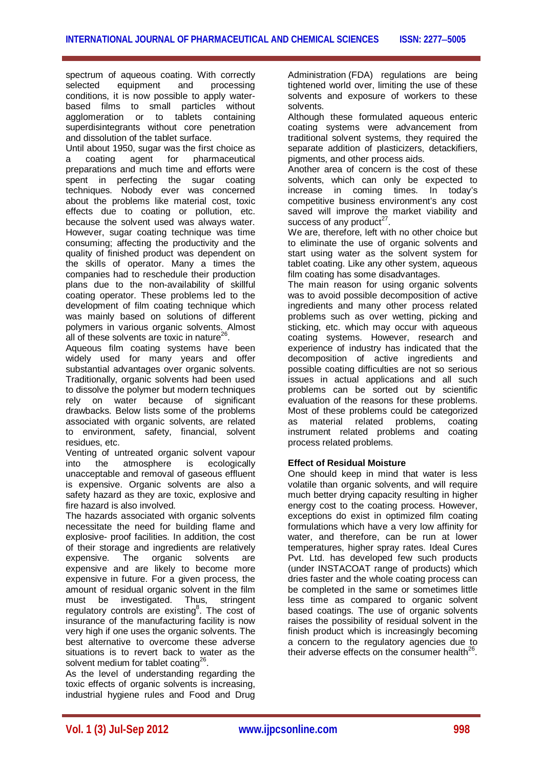spectrum of aqueous coating. With correctly<br>selected equipment and processing equipment conditions, it is now possible to apply waterbased films to small particles without agglomeration or to tablets containing superdisintegrants without core penetration and dissolution of the tablet surface.

Until about 1950, sugar was the first choice as a coating agent for pharmaceutical preparations and much time and efforts were spent in perfecting the sugar coating techniques. Nobody ever was concerned about the problems like material cost, toxic effects due to coating or pollution, etc. because the solvent used was always water. However, sugar coating technique was time consuming; affecting the productivity and the quality of finished product was dependent on the skills of operator. Many a times the companies had to reschedule their production plans due to the non-availability of skillful coating operator. These problems led to the development of film coating technique which was mainly based on solutions of different polymers in various organic solvents. Almost all of these solvents are toxic in nature $^{26}$ .

Aqueous film coating systems have been widely used for many years and offer substantial advantages over organic solvents. Traditionally, organic solvents had been used to dissolve the polymer but modern techniques rely on water because of significant drawbacks. Below lists some of the problems associated with organic solvents, are related to environment, safety, financial, solvent residues, etc.

Venting of untreated organic solvent vapour into the atmosphere is ecologically unacceptable and removal of gaseous effluent is expensive. Organic solvents are also a safety hazard as they are toxic, explosive and fire hazard is also involved.

The hazards associated with organic solvents necessitate the need for building flame and explosive- proof facilities. In addition, the cost of their storage and ingredients are relatively<br>expensive. The organic solvents are expensive. The organic solvents are expensive and are likely to become more expensive in future. For a given process, the amount of residual organic solvent in the film must be investigated. Thus, stringent regulatory controls are existing<sup>8</sup>. The cost of insurance of the manufacturing facility is now very high if one uses the organic solvents. The best alternative to overcome these adverse situations is to revert back to water as the solvent medium for tablet coating $^{26}$ .

As the level of understanding regarding the toxic effects of organic solvents is increasing, industrial hygiene rules and Food and Drug Administration (FDA) regulations are being tightened world over, limiting the use of these solvents and exposure of workers to these solvents.

Although these formulated aqueous enteric coating systems were advancement from traditional solvent systems, they required the separate addition of plasticizers, detackifiers, pigments, and other process aids.

Another area of concern is the cost of these solvents, which can only be expected to increase in coming times. In today's competitive business environment's any cost saved will improve the market viability and success of any product $27$ .

We are, therefore, left with no other choice but to eliminate the use of organic solvents and start using water as the solvent system for tablet coating. Like any other system, aqueous film coating has some disadvantages.

The main reason for using organic solvents was to avoid possible decomposition of active ingredients and many other process related problems such as over wetting, picking and sticking, etc. which may occur with aqueous coating systems. However, research and experience of industry has indicated that the decomposition of active ingredients and possible coating difficulties are not so serious issues in actual applications and all such problems can be sorted out by scientific evaluation of the reasons for these problems. Most of these problems could be categorized as material related problems, coating instrument related problems and coating process related problems.

### **Effect of Residual Moisture**

One should keep in mind that water is less volatile than organic solvents, and will require much better drying capacity resulting in higher energy cost to the coating process. However, exceptions do exist in optimized film coating formulations which have a very low affinity for water, and therefore, can be run at lower temperatures, higher spray rates. Ideal Cures Pvt. Ltd. has developed few such products (under INSTACOAT range of products) which dries faster and the whole coating process can be completed in the same or sometimes little less time as compared to organic solvent based coatings. The use of organic solvents raises the possibility of residual solvent in the finish product which is increasingly becoming a concern to the regulatory agencies due to their adverse effects on the consumer health<sup>26</sup>.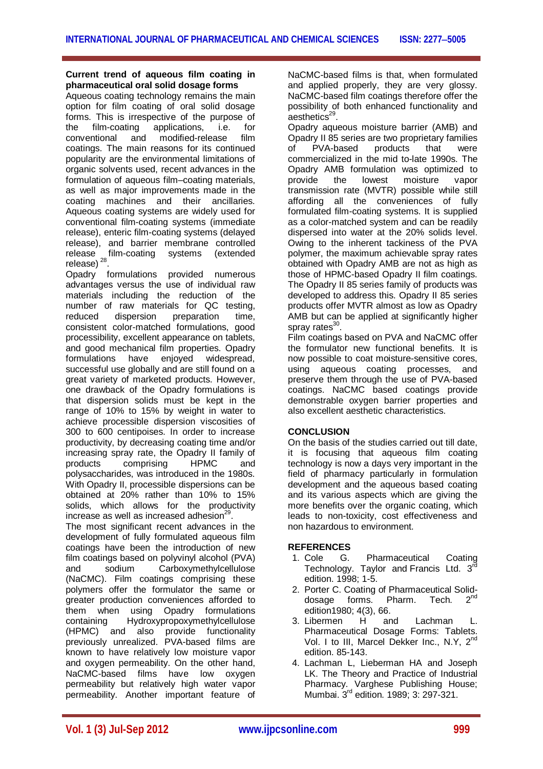### **Current trend of aqueous film coating in pharmaceutical oral solid dosage forms**

Aqueous coating technology remains the main option for film coating of oral solid dosage forms. This is irrespective of the purpose of the film-coating applications, i.e. for conventional and modified-release film coatings. The main reasons for its continued popularity are the environmental limitations of organic solvents used, recent advances in the formulation of aqueous film–coating materials, as well as major improvements made in the coating machines and their ancillaries. Aqueous coating systems are widely used for conventional film-coating systems (immediate release), enteric film-coating systems (delayed release), and barrier membrane controlled release film-coating systems (extended release)  $^{28}$ .

Opadry formulations provided numerous advantages versus the use of individual raw materials including the reduction of the number of raw materials for QC testing,<br>reduced dispersion preparation time. preparation time. consistent color-matched formulations, good processibility, excellent appearance on tablets, and good mechanical film properties. Opadry formulations have enjoyed widespread, successful use globally and are still found on a great variety of marketed products. However, one drawback of the Opadry formulations is that dispersion solids must be kept in the range of 10% to 15% by weight in water to achieve processible dispersion viscosities of 300 to 600 centipoises. In order to increase productivity, by decreasing coating time and/or increasing spray rate, the Opadry II family of products comprising HPMC and polysaccharides, was introduced in the 1980s. With Opadry II, processible dispersions can be obtained at 20% rather than 10% to 15% solids, which allows for the productivity increase as well as increased adhesion $^{29}$ .

The most significant recent advances in the development of fully formulated aqueous film coatings have been the introduction of new film coatings based on polyvinyl alcohol (PVA) and sodium Carboxymethylcellulose (NaCMC). Film coatings comprising these polymers offer the formulator the same or greater production conveniences afforded to them when using Opadry formulations<br>containing Hydroxypropoxymethylcellulose Hydroxypropoxymethylcellulose (HPMC) and also provide functionality previously unrealized. PVA-based films are known to have relatively low moisture vapor and oxygen permeability. On the other hand, NaCMC-based films have low oxygen permeability but relatively high water vapor permeability. Another important feature of

NaCMC-based films is that, when formulated and applied properly, they are very glossy. NaCMC-based film coatings therefore offer the possibility of both enhanced functionality and aesthetics<sup>29</sup>.

Opadry aqueous moisture barrier (AMB) and Opadry II 85 series are two proprietary families<br>of PVA-based products that were of PVA-based products that were commercialized in the mid to-late 1990s. The Opadry AMB formulation was optimized to<br>provide the lowest moisture vapor provide the lowest moisture vapor transmission rate (MVTR) possible while still affording all the conveniences of fully formulated film-coating systems. It is supplied as a color-matched system and can be readily dispersed into water at the 20% solids level. Owing to the inherent tackiness of the PVA polymer, the maximum achievable spray rates obtained with Opadry AMB are not as high as those of HPMC-based Opadry II film coatings. The Opadry II 85 series family of products was developed to address this. Opadry II 85 series products offer MVTR almost as low as Opadry AMB but can be applied at significantly higher spray rates<sup>30</sup>.

Film coatings based on PVA and NaCMC offer the formulator new functional benefits. It is now possible to coat moisture-sensitive cores, using aqueous coating processes, and preserve them through the use of PVA-based coatings. NaCMC based coatings provide demonstrable oxygen barrier properties and also excellent aesthetic characteristics.

### **CONCLUSION**

On the basis of the studies carried out till date, it is focusing that aqueous film coating technology is now a days very important in the field of pharmacy particularly in formulation development and the aqueous based coating and its various aspects which are giving the more benefits over the organic coating, which leads to non-toxicity, cost effectiveness and non hazardous to environment.

### **REFERENCES**

- 1. Cole G. Pharmaceutical Coating Technology. Taylor and Francis Ltd.  $3^{\bar{r}d}$ edition. 1998; 1-5.
- 2. Porter C. Coating of Pharmaceutical Solid-<br>dosage forms. Pharm Tech 2<sup>nd</sup> dosage forms. Pharm. Tech. edition1980; 4(3), 66.
- 3. Libermen H and Lachman L. Pharmaceutical Dosage Forms: Tablets. Vol. I to III, Marcel Dekker Inc., N.Y,  $2^{nc}$ edition. 85-143.
- 4. Lachman L, Lieberman HA and Joseph LK. The Theory and Practice of Industrial Pharmacy. Varghese Publishing House; Mumbai. 3rd edition. 1989; 3: 297-321.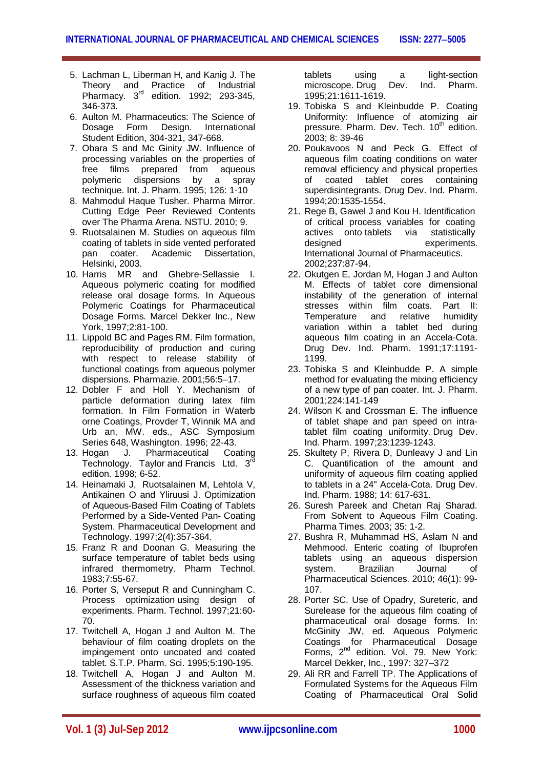- 5. Lachman L, Liberman H, and Kanig J. The Theory and Practice of Industrial Pharmacy. 3rd edition. 1992; 293-345, 346-373.
- 6. Aulton M. Pharmaceutics: The Science of Dosage Form Design. International Student Edition, 304-321, 347-668.
- 7. Obara S and Mc Ginity JW. Influence of processing variables on the properties of free films prepared from aqueous polymeric dispersions by a spray technique. Int. J. Pharm. 1995; 126: 1-10
- 8. Mahmodul Haque Tusher. Pharma Mirror. Cutting Edge Peer Reviewed Contents over The Pharma Arena. NSTU. 2010; 9.
- 9. Ruotsalainen M. Studies on aqueous film coating of tablets in side vented perforated pan coater. Academic Dissertation, Helsinki, 2003.
- 10. Harris MR and Ghebre-Sellassie I. Aqueous polymeric coating for modified release oral dosage forms. In Aqueous Polymeric Coatings for Pharmaceutical Dosage Forms. Marcel Dekker Inc., New York, 1997;2:81-100.
- 11. Lippold BC and Pages RM. Film formation, reproducibility of production and curing with respect to release stability of functional coatings from aqueous polymer dispersions. Pharmazie. 2001;56:5–17.
- 12. Dobler F and Holl Y. Mechanism of particle deformation during latex film formation. In Film Formation in Waterb orne Coatings, Provder T, Winnik MA and Urb an, MW. eds., ASC Symposium Series 648, Washington. 1996; 22-43.
- 13. Hogan J. Pharmaceutical Coating Technology. Taylor and Francis Ltd.  $3^{rc}$ edition. 1998; 6-52.
- 14. Heinamaki J, Ruotsalainen M, Lehtola V, Antikainen O and Yliruusi J. Optimization of Aqueous-Based Film Coating of Tablets Performed by a Side-Vented Pan- Coating System. Pharmaceutical Development and Technology. 1997;2(4):357-364.
- 15. Franz R and Doonan G. Measuring the surface temperature of tablet beds using infrared thermometry. Pharm Technol. 1983;7:55-67.
- 16. Porter S, Verseput R and Cunningham C. Process optimization using design of experiments. Pharm. Technol. 1997;21:60- 70.
- 17. Twitchell A, Hogan J and Aulton M. The behaviour of film coating droplets on the impingement onto uncoated and coated tablet. S.T.P. Pharm. Sci. 1995;5:190-195.
- 18. Twitchell A, Hogan J and Aulton M. Assessment of the thickness variation and surface roughness of aqueous film coated

tablets using a light-section<br>microscope. Drug Dev. Ind. Pharm. microscope. Drug 1995;21:1611-1619.

- 19. Tobiska S and Kleinbudde P. Coating Uniformity: Influence of atomizing air pressure. Pharm. Dev. Tech. 10<sup>th</sup> edition. 2003; 8: 39-46
- 20. Poukavoos N and Peck G. Effect of aqueous film coating conditions on water removal efficiency and physical properties of coated tablet cores containing superdisintegrants. Drug Dev. Ind. Pharm. 1994;20:1535-1554.
- 21. Rege B, Gawel J and Kou H. Identification of critical process variables for coating actives onto tablets via statistically designed experiments. International Journal of Pharmaceutics. 2002;237:87-94.
- 22. Okutgen E, Jordan M, Hogan J and Aulton M. Effects of tablet core dimensional instability of the generation of internal stresses within film coats. Part II: Temperature and relative humidity variation within a tablet bed during aqueous film coating in an Accela-Cota. Drug Dev. Ind. Pharm. 1991;17:1191- 1199.
- 23. Tobiska S and Kleinbudde P. A simple method for evaluating the mixing efficiency of a new type of pan coater. Int. J. Pharm. 2001;224:141-149
- 24. Wilson K and Crossman E. The influence of tablet shape and pan speed on intratablet film coating uniformity. Drug Dev. Ind. Pharm. 1997;23:1239-1243.
- 25. Skultety P, Rivera D, Dunleavy J and Lin C. Quantification of the amount and uniformity of aqueous film coating applied to tablets in a 24" Accela-Cota. Drug Dev. Ind. Pharm. 1988; 14: 617-631.
- 26. Suresh Pareek and Chetan Raj Sharad. From Solvent to Aqueous Film Coating. Pharma Times. 2003; 35: 1-2.
- 27. Bushra R, Muhammad HS, Aslam N and Mehmood. Enteric coating of Ibuprofen tablets using an aqueous dispersion system. Brazilian Journal of Pharmaceutical Sciences. 2010; 46(1): 99- 107.
- 28. Porter SC. Use of Opadry, Sureteric, and Surelease for the aqueous film coating of pharmaceutical oral dosage forms. In: McGinity JW, ed. Aqueous Polymeric Coatings for Pharmaceutical Dosage Forms, 2<sup>nd</sup> edition. Vol. 79. New York: Marcel Dekker, Inc., 1997: 327–372
- 29. Ali RR and Farrell TP. The Applications of Formulated Systems for the Aqueous Film Coating of Pharmaceutical Oral Solid